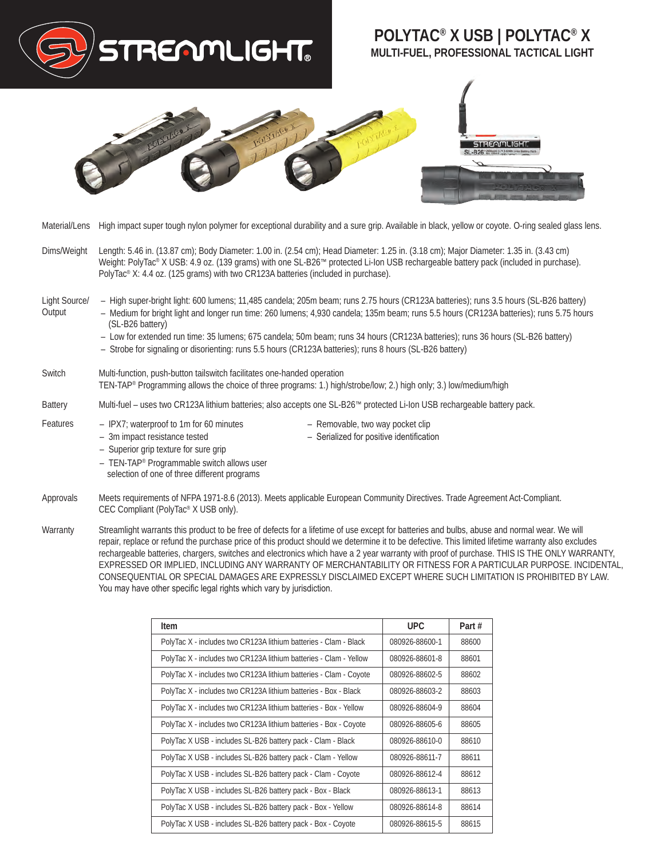

- Approvals Meets requirements of NFPA 1971-8.6 (2013). Meets applicable European Community Directives. Trade Agreement Act-Compliant. CEC Compliant (PolyTac® X USB only).
- Warranty Streamlight warrants this product to be free of defects for a lifetime of use except for batteries and bulbs, abuse and normal wear. We will repair, replace or refund the purchase price of this product should we determine it to be defective. This limited lifetime warranty also excludes rechargeable batteries, chargers, switches and electronics which have a 2 year warranty with proof of purchase. THIS IS THE ONLY WARRANTY, EXPRESSED OR IMPLIED, INCLUDING ANY WARRANTY OF MERCHANTABILITY OR FITNESS FOR A PARTICULAR PURPOSE. INCIDENTAL, CONSEQUENTIAL OR SPECIAL DAMAGES ARE EXPRESSLY DISCLAIMED EXCEPT WHERE SUCH LIMITATION IS PROHIBITED BY LAW. You may have other specific legal rights which vary by jurisdiction.

| Item                                                              | UPC.           | Part # |
|-------------------------------------------------------------------|----------------|--------|
| PolyTac X - includes two CR123A lithium batteries - Clam - Black  | 080926-88600-1 | 88600  |
| PolyTac X - includes two CR123A lithium batteries - Clam - Yellow | 080926-88601-8 | 88601  |
| PolyTac X - includes two CR123A lithium batteries - Clam - Coyote | 080926-88602-5 | 88602  |
| PolyTac X - includes two CR123A lithium batteries - Box - Black   | 080926-88603-2 | 88603  |
| PolyTac X - includes two CR123A lithium batteries - Box - Yellow  | 080926-88604-9 | 88604  |
| PolyTac X - includes two CR123A lithium batteries - Box - Coyote  | 080926-88605-6 | 88605  |
| PolyTac X USB - includes SL-B26 battery pack - Clam - Black       | 080926-88610-0 | 88610  |
| PolyTac X USB - includes SL-B26 battery pack - Clam - Yellow      | 080926-88611-7 | 88611  |
| PolyTac X USB - includes SL-B26 battery pack - Clam - Coyote      | 080926-88612-4 | 88612  |
| PolyTac X USB - includes SL-B26 battery pack - Box - Black        | 080926-88613-1 | 88613  |
| PolyTac X USB - includes SL-B26 battery pack - Box - Yellow       | 080926-88614-8 | 88614  |
| PolyTac X USB - includes SL-B26 battery pack - Box - Coyote       | 080926-88615-5 | 88615  |